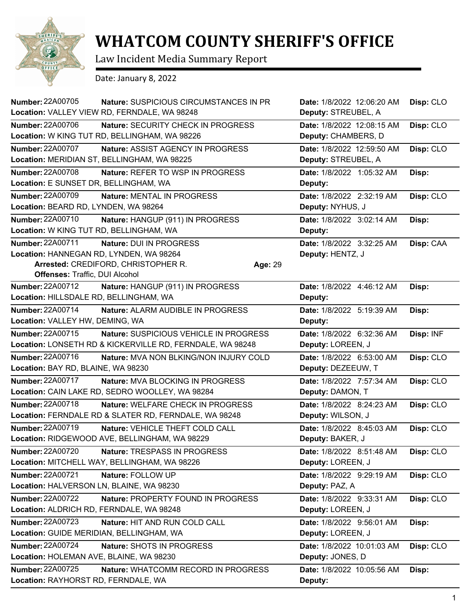

## **WHATCOM COUNTY SHERIFF'S OFFICE**

Law Incident Media Summary Report

Date: January 8, 2022

| <b>Number: 22A00705</b>                                                                              | Nature: SUSPICIOUS CIRCUMSTANCES IN PR<br>Location: VALLEY VIEW RD, FERNDALE, WA 98248              |         | Date: 1/8/2022 12:06:20 AM<br>Deputy: STREUBEL, A | Disp: CLO |
|------------------------------------------------------------------------------------------------------|-----------------------------------------------------------------------------------------------------|---------|---------------------------------------------------|-----------|
| Number: 22A00706                                                                                     | Nature: SECURITY CHECK IN PROGRESS<br>Location: W KING TUT RD, BELLINGHAM, WA 98226                 |         | Date: 1/8/2022 12:08:15 AM<br>Deputy: CHAMBERS, D | Disp: CLO |
| Number: 22A00707                                                                                     | Nature: ASSIST AGENCY IN PROGRESS<br>Location: MERIDIAN ST, BELLINGHAM, WA 98225                    |         | Date: 1/8/2022 12:59:50 AM<br>Deputy: STREUBEL, A | Disp: CLO |
| Number: 22A00708<br>Location: E SUNSET DR, BELLINGHAM, WA                                            | Nature: REFER TO WSP IN PROGRESS                                                                    |         | Date: 1/8/2022 1:05:32 AM<br>Deputy:              | Disp:     |
| Number: 22A00709<br>Location: BEARD RD, LYNDEN, WA 98264                                             | Nature: MENTAL IN PROGRESS                                                                          |         | Date: 1/8/2022 2:32:19 AM<br>Deputy: NYHUS, J     | Disp: CLO |
| Number: 22A00710<br>Location: W KING TUT RD, BELLINGHAM, WA                                          | Nature: HANGUP (911) IN PROGRESS                                                                    |         | Date: 1/8/2022 3:02:14 AM<br>Deputy:              | Disp:     |
| Number: 22A00711<br>Location: HANNEGAN RD, LYNDEN, WA 98264<br><b>Offenses: Traffic, DUI Alcohol</b> | Nature: DUI IN PROGRESS<br>Arrested: CREDIFORD, CHRISTOPHER R.                                      | Age: 29 | Date: 1/8/2022 3:32:25 AM<br>Deputy: HENTZ, J     | Disp: CAA |
| Number: 22A00712<br>Location: HILLSDALE RD, BELLINGHAM, WA                                           | Nature: HANGUP (911) IN PROGRESS                                                                    |         | Date: 1/8/2022 4:46:12 AM<br>Deputy:              | Disp:     |
| Number: 22A00714<br>Location: VALLEY HW, DEMING, WA                                                  | Nature: ALARM AUDIBLE IN PROGRESS                                                                   |         | Date: 1/8/2022 5:19:39 AM<br>Deputy:              | Disp:     |
| Number: 22A00715                                                                                     | Nature: SUSPICIOUS VEHICLE IN PROGRESS<br>Location: LONSETH RD & KICKERVILLE RD, FERNDALE, WA 98248 |         | Date: 1/8/2022 6:32:36 AM<br>Deputy: LOREEN, J    | Disp: INF |
| Number: 22A00716<br>Location: BAY RD, BLAINE, WA 98230                                               | Nature: MVA NON BLKING/NON INJURY COLD                                                              |         | Date: 1/8/2022 6:53:00 AM<br>Deputy: DEZEEUW, T   | Disp: CLO |
| Number: 22A00717                                                                                     | Nature: MVA BLOCKING IN PROGRESS<br>Location: CAIN LAKE RD, SEDRO WOOLLEY, WA 98284                 |         | Date: 1/8/2022 7:57:34 AM<br>Deputy: DAMON, T     | Disp: CLO |
| Number: 22A00718                                                                                     | Nature: WELFARE CHECK IN PROGRESS<br>Location: FERNDALE RD & SLATER RD, FERNDALE, WA 98248          |         | Date: 1/8/2022 8:24:23 AM<br>Deputy: WILSON, J    | Disp: CLO |
| Number: 22A00719                                                                                     | Nature: VEHICLE THEFT COLD CALL<br>Location: RIDGEWOOD AVE, BELLINGHAM, WA 98229                    |         | Date: 1/8/2022 8:45:03 AM<br>Deputy: BAKER, J     | Disp: CLO |
| Number: 22A00720                                                                                     | Nature: TRESPASS IN PROGRESS<br>Location: MITCHELL WAY, BELLINGHAM, WA 98226                        |         | Date: 1/8/2022 8:51:48 AM<br>Deputy: LOREEN, J    | Disp: CLO |
| Number: 22A00721<br>Location: HALVERSON LN, BLAINE, WA 98230                                         | Nature: FOLLOW UP                                                                                   |         | Date: 1/8/2022 9:29:19 AM<br>Deputy: PAZ, A       | Disp: CLO |
| <b>Number: 22A00722</b><br>Location: ALDRICH RD, FERNDALE, WA 98248                                  | Nature: PROPERTY FOUND IN PROGRESS                                                                  |         | Date: 1/8/2022 9:33:31 AM<br>Deputy: LOREEN, J    | Disp: CLO |
| Number: 22A00723<br>Location: GUIDE MERIDIAN, BELLINGHAM, WA                                         | Nature: HIT AND RUN COLD CALL                                                                       |         | Date: 1/8/2022 9:56:01 AM<br>Deputy: LOREEN, J    | Disp:     |
| <b>Number: 22A00724</b><br>Location: HOLEMAN AVE, BLAINE, WA 98230                                   | Nature: SHOTS IN PROGRESS                                                                           |         | Date: 1/8/2022 10:01:03 AM<br>Deputy: JONES, D    | Disp: CLO |
| Number: 22A00725<br>Location: RAYHORST RD, FERNDALE, WA                                              | Nature: WHATCOMM RECORD IN PROGRESS                                                                 |         | Date: 1/8/2022 10:05:56 AM<br>Deputy:             | Disp:     |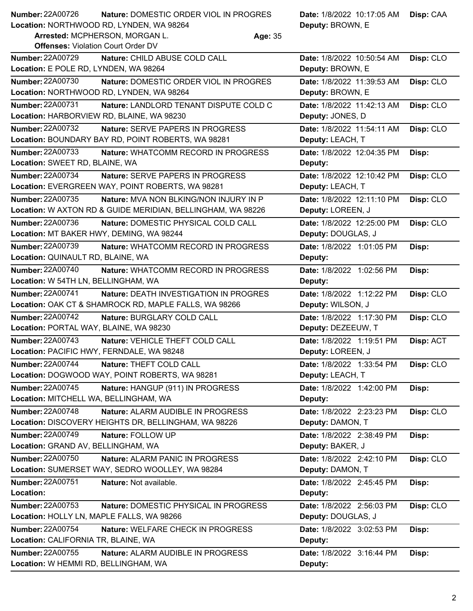| <b>Number: 22A00726</b> | Nature: DOMESTIC ORDER VIOL IN PROGRES   | Date: 1/8/2022 10:17:05 AM   Disp: CAA |  |
|-------------------------|------------------------------------------|----------------------------------------|--|
|                         | Location: NORTHWOOD RD, LYNDEN, WA 98264 | <b>Deputy: BROWN, E</b>                |  |

**Arrested:** MCPHERSON, MORGAN L. **Age:** 35

| <b>Offenses: Violation Court Order DV</b>                          |                            |           |
|--------------------------------------------------------------------|----------------------------|-----------|
| <b>Number: 22A00729</b><br>Nature: CHILD ABUSE COLD CALL           | Date: 1/8/2022 10:50:54 AM | Disp: CLO |
| Location: E POLE RD, LYNDEN, WA 98264                              | Deputy: BROWN, E           |           |
| <b>Number: 22A00730</b><br>Nature: DOMESTIC ORDER VIOL IN PROGRES  | Date: 1/8/2022 11:39:53 AM | Disp: CLO |
| Location: NORTHWOOD RD, LYNDEN, WA 98264                           | Deputy: BROWN, E           |           |
| <b>Number: 22A00731</b><br>Nature: LANDLORD TENANT DISPUTE COLD C  | Date: 1/8/2022 11:42:13 AM | Disp: CLO |
| Location: HARBORVIEW RD, BLAINE, WA 98230                          | Deputy: JONES, D           |           |
| Number: 22A00732<br><b>Nature: SERVE PAPERS IN PROGRESS</b>        | Date: 1/8/2022 11:54:11 AM | Disp: CLO |
| Location: BOUNDARY BAY RD, POINT ROBERTS, WA 98281                 | Deputy: LEACH, T           |           |
| <b>Number: 22A00733</b><br>Nature: WHATCOMM RECORD IN PROGRESS     | Date: 1/8/2022 12:04:35 PM | Disp:     |
| Location: SWEET RD, BLAINE, WA                                     | Deputy:                    |           |
| <b>Number: 22A00734</b><br><b>Nature: SERVE PAPERS IN PROGRESS</b> | Date: 1/8/2022 12:10:42 PM | Disp: CLO |
| Location: EVERGREEN WAY, POINT ROBERTS, WA 98281                   | Deputy: LEACH, T           |           |
| <b>Number: 22A00735</b><br>Nature: MVA NON BLKING/NON INJURY IN P  | Date: 1/8/2022 12:11:10 PM | Disp: CLO |
| Location: W AXTON RD & GUIDE MERIDIAN, BELLINGHAM, WA 98226        | Deputy: LOREEN, J          |           |
| <b>Number: 22A00736</b><br>Nature: DOMESTIC PHYSICAL COLD CALL     | Date: 1/8/2022 12:25:00 PM | Disp: CLO |
| Location: MT BAKER HWY, DEMING, WA 98244                           | Deputy: DOUGLAS, J         |           |
| Number: 22A00739<br>Nature: WHATCOMM RECORD IN PROGRESS            | Date: 1/8/2022 1:01:05 PM  | Disp:     |
| Location: QUINAULT RD, BLAINE, WA                                  | Deputy:                    |           |
| Number: 22A00740<br>Nature: WHATCOMM RECORD IN PROGRESS            | Date: 1/8/2022 1:02:56 PM  | Disp:     |
| Location: W 54TH LN, BELLINGHAM, WA                                | Deputy:                    |           |
| <b>Number: 22A00741</b><br>Nature: DEATH INVESTIGATION IN PROGRES  | Date: 1/8/2022 1:12:22 PM  | Disp: CLO |
| Location: OAK CT & SHAMROCK RD, MAPLE FALLS, WA 98266              | Deputy: WILSON, J          |           |
| <b>Number: 22A00742</b><br>Nature: BURGLARY COLD CALL              | Date: 1/8/2022 1:17:30 PM  | Disp: CLO |
| Location: PORTAL WAY, BLAINE, WA 98230                             | Deputy: DEZEEUW, T         |           |
| <b>Number: 22A00743</b><br>Nature: VEHICLE THEFT COLD CALL         | Date: 1/8/2022 1:19:51 PM  | Disp: ACT |
| Location: PACIFIC HWY, FERNDALE, WA 98248                          | Deputy: LOREEN, J          |           |
| <b>Number: 22A00744</b><br>Nature: THEFT COLD CALL                 | Date: 1/8/2022 1:33:54 PM  | Disp: CLO |
| Location: DOGWOOD WAY, POINT ROBERTS, WA 98281                     | Deputy: LEACH, T           |           |
| <b>Number: 22A00745</b><br>Nature: HANGUP (911) IN PROGRESS        | Date: 1/8/2022 1:42:00 PM  | Disp:     |
| Location: MITCHELL WA, BELLINGHAM, WA                              | Deputy:                    |           |
| <b>Number: 22A00748</b><br>Nature: ALARM AUDIBLE IN PROGRESS       | Date: 1/8/2022 2:23:23 PM  | Disp: CLO |
| Location: DISCOVERY HEIGHTS DR, BELLINGHAM, WA 98226               | Deputy: DAMON, T           |           |
| <b>Number: 22A00749</b><br>Nature: FOLLOW UP                       | Date: 1/8/2022 2:38:49 PM  | Disp:     |
| Location: GRAND AV, BELLINGHAM, WA                                 | Deputy: BAKER, J           |           |
| Number: 22A00750<br>Nature: ALARM PANIC IN PROGRESS                | Date: 1/8/2022 2:42:10 PM  | Disp: CLO |
| Location: SUMERSET WAY, SEDRO WOOLLEY, WA 98284                    | Deputy: DAMON, T           |           |
| Number: 22A00751<br>Nature: Not available.                         | Date: 1/8/2022 2:45:45 PM  | Disp:     |
| Location:                                                          | Deputy:                    |           |
| Number: 22A00753<br>Nature: DOMESTIC PHYSICAL IN PROGRESS          | Date: 1/8/2022 2:56:03 PM  | Disp: CLO |
| Location: HOLLY LN, MAPLE FALLS, WA 98266                          | Deputy: DOUGLAS, J         |           |
| Number: 22A00754<br>Nature: WELFARE CHECK IN PROGRESS              | Date: 1/8/2022 3:02:53 PM  | Disp:     |
| Location: CALIFORNIA TR, BLAINE, WA                                | Deputy:                    |           |
| <b>Number: 22A00755</b><br>Nature: ALARM AUDIBLE IN PROGRESS       | Date: 1/8/2022 3:16:44 PM  | Disp:     |
| Location: W HEMMI RD, BELLINGHAM, WA                               | Deputy:                    |           |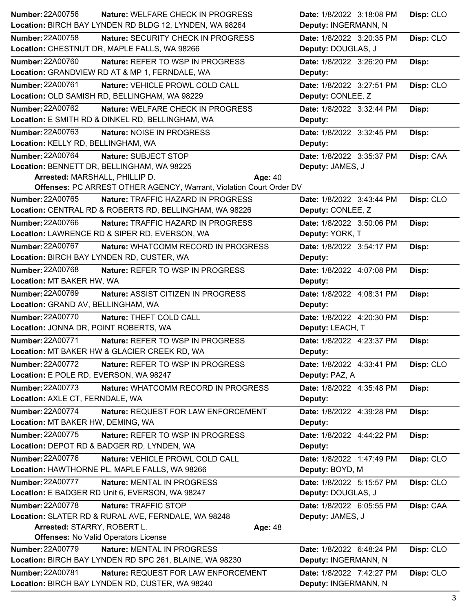| <b>Number: 22A00756</b>                | Nature: WELFARE CHECK IN PROGRESS                                   | Date: 1/8/2022 3:18:08 PM | Disp: CLO |
|----------------------------------------|---------------------------------------------------------------------|---------------------------|-----------|
|                                        | Location: BIRCH BAY LYNDEN RD BLDG 12, LYNDEN, WA 98264             | Deputy: INGERMANN, N      |           |
| <b>Number: 22A00758</b>                | Nature: SECURITY CHECK IN PROGRESS                                  | Date: 1/8/2022 3:20:35 PM | Disp: CLO |
|                                        | Location: CHESTNUT DR, MAPLE FALLS, WA 98266                        | Deputy: DOUGLAS, J        |           |
| <b>Number: 22A00760</b>                | Nature: REFER TO WSP IN PROGRESS                                    | Date: 1/8/2022 3:26:20 PM | Disp:     |
|                                        | Location: GRANDVIEW RD AT & MP 1, FERNDALE, WA                      | Deputy:                   |           |
| Number: 22A00761                       | Nature: VEHICLE PROWL COLD CALL                                     | Date: 1/8/2022 3:27:51 PM | Disp: CLO |
|                                        | Location: OLD SAMISH RD, BELLINGHAM, WA 98229                       | Deputy: CONLEE, Z         |           |
| Number: 22A00762                       | Nature: WELFARE CHECK IN PROGRESS                                   | Date: 1/8/2022 3:32:44 PM | Disp:     |
|                                        | Location: E SMITH RD & DINKEL RD, BELLINGHAM, WA                    | Deputy:                   |           |
| <b>Number: 22A00763</b>                | Nature: NOISE IN PROGRESS                                           | Date: 1/8/2022 3:32:45 PM | Disp:     |
| Location: KELLY RD, BELLINGHAM, WA     |                                                                     | Deputy:                   |           |
| Number: 22A00764                       | Nature: SUBJECT STOP                                                | Date: 1/8/2022 3:35:37 PM | Disp: CAA |
|                                        | Location: BENNETT DR, BELLINGHAM, WA 98225                          | Deputy: JAMES, J          |           |
| Arrested: MARSHALL, PHILLIP D.         | Age: 40                                                             |                           |           |
|                                        | Offenses: PC ARREST OTHER AGENCY, Warrant, Violation Court Order DV |                           |           |
| Number: 22A00765                       | Nature: TRAFFIC HAZARD IN PROGRESS                                  | Date: 1/8/2022 3:43:44 PM | Disp: CLO |
|                                        | Location: CENTRAL RD & ROBERTS RD, BELLINGHAM, WA 98226             | Deputy: CONLEE, Z         |           |
| <b>Number: 22A00766</b>                | <b>Nature: TRAFFIC HAZARD IN PROGRESS</b>                           | Date: 1/8/2022 3:50:06 PM | Disp:     |
|                                        | Location: LAWRENCE RD & SIPER RD, EVERSON, WA                       | Deputy: YORK, T           |           |
| Number: 22A00767                       | Nature: WHATCOMM RECORD IN PROGRESS                                 | Date: 1/8/2022 3:54:17 PM | Disp:     |
|                                        | Location: BIRCH BAY LYNDEN RD, CUSTER, WA                           | Deputy:                   |           |
| <b>Number: 22A00768</b>                | Nature: REFER TO WSP IN PROGRESS                                    | Date: 1/8/2022 4:07:08 PM | Disp:     |
| Location: MT BAKER HW, WA              |                                                                     | Deputy:                   |           |
| <b>Number: 22A00769</b>                | Nature: ASSIST CITIZEN IN PROGRESS                                  | Date: 1/8/2022 4:08:31 PM | Disp:     |
| Location: GRAND AV, BELLINGHAM, WA     |                                                                     | Deputy:                   |           |
| <b>Number: 22A00770</b>                | Nature: THEFT COLD CALL                                             | Date: 1/8/2022 4:20:30 PM | Disp:     |
| Location: JONNA DR, POINT ROBERTS, WA  |                                                                     | Deputy: LEACH, T          |           |
| <b>Number: 22A00771</b>                | Nature: REFER TO WSP IN PROGRESS                                    | Date: 1/8/2022 4:23:37 PM | Disp:     |
|                                        | Location: MT BAKER HW & GLACIER CREEK RD, WA                        | Deputy:                   |           |
| <b>Number: 22A00772</b>                | Nature: REFER TO WSP IN PROGRESS                                    | Date: 1/8/2022 4:33:41 PM | Disp: CLO |
| Location: E POLE RD, EVERSON, WA 98247 |                                                                     | Deputy: PAZ, A            |           |
| <b>Number: 22A00773</b>                | Nature: WHATCOMM RECORD IN PROGRESS                                 | Date: 1/8/2022 4:35:48 PM | Disp:     |
| Location: AXLE CT, FERNDALE, WA        |                                                                     | Deputy:                   |           |
| Number: 22A00774                       | Nature: REQUEST FOR LAW ENFORCEMENT                                 | Date: 1/8/2022 4:39:28 PM | Disp:     |
| Location: MT BAKER HW, DEMING, WA      |                                                                     | Deputy:                   |           |
| Number: 22A00775                       | Nature: REFER TO WSP IN PROGRESS                                    | Date: 1/8/2022 4:44:22 PM | Disp:     |
|                                        | Location: DEPOT RD & BADGER RD, LYNDEN, WA                          | Deputy:                   |           |
| <b>Number: 22A00776</b>                | Nature: VEHICLE PROWL COLD CALL                                     | Date: 1/8/2022 1:47:49 PM | Disp: CLO |
|                                        | Location: HAWTHORNE PL, MAPLE FALLS, WA 98266                       | Deputy: BOYD, M           |           |
| <b>Number: 22A00777</b>                | Nature: MENTAL IN PROGRESS                                          | Date: 1/8/2022 5:15:57 PM | Disp: CLO |
|                                        |                                                                     | Deputy: DOUGLAS, J        |           |
| <b>Number: 22A00778</b>                |                                                                     |                           |           |
|                                        | Location: E BADGER RD Unit 6, EVERSON, WA 98247                     |                           |           |
|                                        | Nature: TRAFFIC STOP                                                | Date: 1/8/2022 6:05:55 PM | Disp: CAA |
|                                        | Location: SLATER RD & RURAL AVE, FERNDALE, WA 98248                 | Deputy: JAMES, J          |           |
| Arrested: STARRY, ROBERT L.            | Age: 48<br><b>Offenses: No Valid Operators License</b>              |                           |           |
| <b>Number: 22A00779</b>                | Nature: MENTAL IN PROGRESS                                          | Date: 1/8/2022 6:48:24 PM |           |
|                                        | Location: BIRCH BAY LYNDEN RD SPC 261, BLAINE, WA 98230             | Deputy: INGERMANN, N      | Disp: CLO |
| <b>Number: 22A00781</b>                | Nature: REQUEST FOR LAW ENFORCEMENT                                 | Date: 1/8/2022 7:42:27 PM |           |
|                                        | Location: BIRCH BAY LYNDEN RD, CUSTER, WA 98240                     | Deputy: INGERMANN, N      | Disp: CLO |